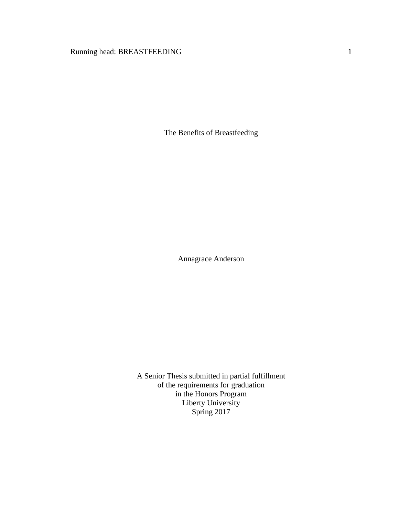# Running head: BREASTFEEDING 1

The Benefits of Breastfeeding

Annagrace Anderson

A Senior Thesis submitted in partial fulfillment of the requirements for graduation in the Honors Program Liberty University Spring 2017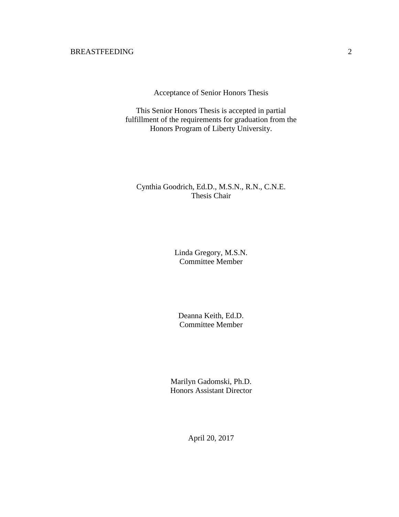Acceptance of Senior Honors Thesis

This Senior Honors Thesis is accepted in partial fulfillment of the requirements for graduation from the Honors Program of Liberty University.

# Cynthia Goodrich, Ed.D., M.S.N., R.N., C.N.E. Thesis Chair

Linda Gregory, M.S.N. Committee Member

Deanna Keith, Ed.D. Committee Member

Marilyn Gadomski, Ph.D. Honors Assistant Director

April 20, 2017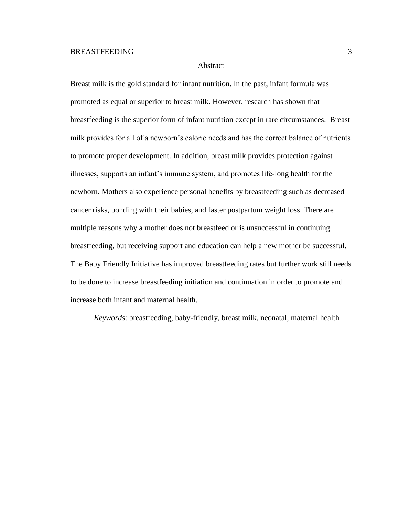## Abstract

Breast milk is the gold standard for infant nutrition. In the past, infant formula was promoted as equal or superior to breast milk. However, research has shown that breastfeeding is the superior form of infant nutrition except in rare circumstances. Breast milk provides for all of a newborn's caloric needs and has the correct balance of nutrients to promote proper development. In addition, breast milk provides protection against illnesses, supports an infant's immune system, and promotes life-long health for the newborn. Mothers also experience personal benefits by breastfeeding such as decreased cancer risks, bonding with their babies, and faster postpartum weight loss. There are multiple reasons why a mother does not breastfeed or is unsuccessful in continuing breastfeeding, but receiving support and education can help a new mother be successful. The Baby Friendly Initiative has improved breastfeeding rates but further work still needs to be done to increase breastfeeding initiation and continuation in order to promote and increase both infant and maternal health.

*Keywords*: breastfeeding, baby-friendly, breast milk, neonatal, maternal health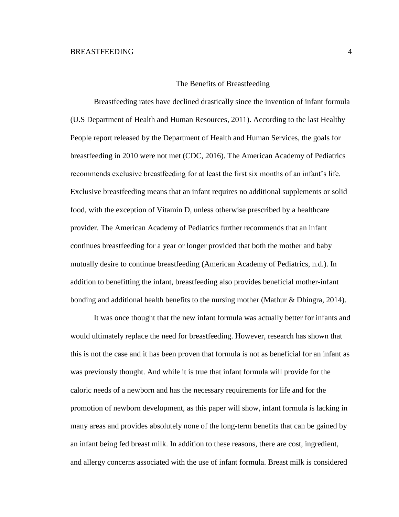### The Benefits of Breastfeeding

Breastfeeding rates have declined drastically since the invention of infant formula (U.S Department of Health and Human Resources, 2011). According to the last Healthy People report released by the Department of Health and Human Services, the goals for breastfeeding in 2010 were not met (CDC, 2016). The American Academy of Pediatrics recommends exclusive breastfeeding for at least the first six months of an infant's life. Exclusive breastfeeding means that an infant requires no additional supplements or solid food, with the exception of Vitamin D, unless otherwise prescribed by a healthcare provider. The American Academy of Pediatrics further recommends that an infant continues breastfeeding for a year or longer provided that both the mother and baby mutually desire to continue breastfeeding (American Academy of Pediatrics, n.d.). In addition to benefitting the infant, breastfeeding also provides beneficial mother-infant bonding and additional health benefits to the nursing mother (Mathur & Dhingra, 2014).

It was once thought that the new infant formula was actually better for infants and would ultimately replace the need for breastfeeding. However, research has shown that this is not the case and it has been proven that formula is not as beneficial for an infant as was previously thought. And while it is true that infant formula will provide for the caloric needs of a newborn and has the necessary requirements for life and for the promotion of newborn development, as this paper will show, infant formula is lacking in many areas and provides absolutely none of the long-term benefits that can be gained by an infant being fed breast milk. In addition to these reasons, there are cost, ingredient, and allergy concerns associated with the use of infant formula. Breast milk is considered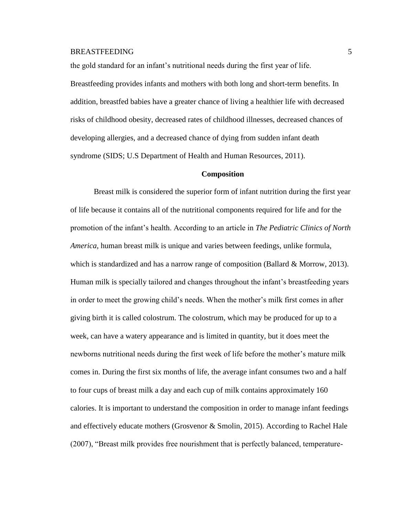the gold standard for an infant's nutritional needs during the first year of life.

Breastfeeding provides infants and mothers with both long and short-term benefits. In addition, breastfed babies have a greater chance of living a healthier life with decreased risks of childhood obesity, decreased rates of childhood illnesses, decreased chances of developing allergies, and a decreased chance of dying from sudden infant death syndrome (SIDS; U.S Department of Health and Human Resources, 2011).

#### **Composition**

Breast milk is considered the superior form of infant nutrition during the first year of life because it contains all of the nutritional components required for life and for the promotion of the infant's health. According to an article in *The Pediatric Clinics of North America*, human breast milk is unique and varies between feedings, unlike formula, which is standardized and has a narrow range of composition (Ballard  $\&$  Morrow, 2013). Human milk is specially tailored and changes throughout the infant's breastfeeding years in order to meet the growing child's needs. When the mother's milk first comes in after giving birth it is called colostrum. The colostrum, which may be produced for up to a week, can have a watery appearance and is limited in quantity, but it does meet the newborns nutritional needs during the first week of life before the mother's mature milk comes in. During the first six months of life, the average infant consumes two and a half to four cups of breast milk a day and each cup of milk contains approximately 160 calories. It is important to understand the composition in order to manage infant feedings and effectively educate mothers (Grosvenor & Smolin, 2015). According to Rachel Hale (2007), "Breast milk provides free nourishment that is perfectly balanced, temperature-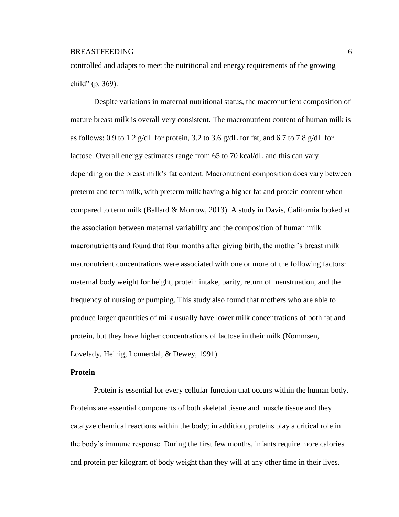controlled and adapts to meet the nutritional and energy requirements of the growing child" (p. 369).

Despite variations in maternal nutritional status, the macronutrient composition of mature breast milk is overall very consistent. The macronutrient content of human milk is as follows: 0.9 to 1.2 g/dL for protein, 3.2 to 3.6 g/dL for fat, and 6.7 to 7.8 g/dL for lactose. Overall energy estimates range from 65 to 70 kcal/dL and this can vary depending on the breast milk's fat content. Macronutrient composition does vary between preterm and term milk, with preterm milk having a higher fat and protein content when compared to term milk (Ballard & Morrow, 2013). A study in Davis, California looked at the association between maternal variability and the composition of human milk macronutrients and found that four months after giving birth, the mother's breast milk macronutrient concentrations were associated with one or more of the following factors: maternal body weight for height, protein intake, parity, return of menstruation, and the frequency of nursing or pumping. This study also found that mothers who are able to produce larger quantities of milk usually have lower milk concentrations of both fat and protein, but they have higher concentrations of lactose in their milk (Nommsen, Lovelady, Heinig, Lonnerdal, & Dewey, 1991).

### **Protein**

Protein is essential for every cellular function that occurs within the human body. Proteins are essential components of both skeletal tissue and muscle tissue and they catalyze chemical reactions within the body; in addition, proteins play a critical role in the body's immune response. During the first few months, infants require more calories and protein per kilogram of body weight than they will at any other time in their lives.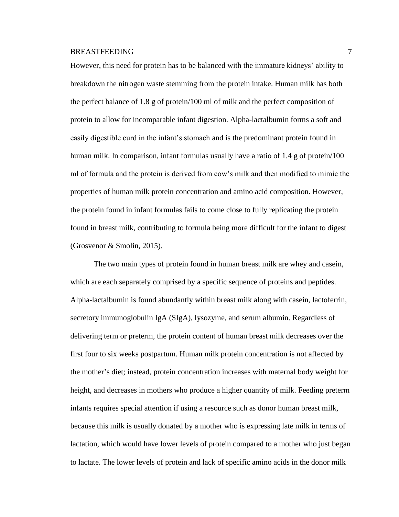However, this need for protein has to be balanced with the immature kidneys' ability to breakdown the nitrogen waste stemming from the protein intake. Human milk has both the perfect balance of 1.8 g of protein/100 ml of milk and the perfect composition of protein to allow for incomparable infant digestion. Alpha-lactalbumin forms a soft and easily digestible curd in the infant's stomach and is the predominant protein found in human milk. In comparison, infant formulas usually have a ratio of 1.4 g of protein/100 ml of formula and the protein is derived from cow's milk and then modified to mimic the properties of human milk protein concentration and amino acid composition. However, the protein found in infant formulas fails to come close to fully replicating the protein found in breast milk, contributing to formula being more difficult for the infant to digest (Grosvenor & Smolin, 2015).

The two main types of protein found in human breast milk are whey and casein, which are each separately comprised by a specific sequence of proteins and peptides. Alpha-lactalbumin is found abundantly within breast milk along with casein, lactoferrin, secretory immunoglobulin IgA (SIgA), lysozyme, and serum albumin. Regardless of delivering term or preterm, the protein content of human breast milk decreases over the first four to six weeks postpartum. Human milk protein concentration is not affected by the mother's diet; instead, protein concentration increases with maternal body weight for height, and decreases in mothers who produce a higher quantity of milk. Feeding preterm infants requires special attention if using a resource such as donor human breast milk, because this milk is usually donated by a mother who is expressing late milk in terms of lactation, which would have lower levels of protein compared to a mother who just began to lactate. The lower levels of protein and lack of specific amino acids in the donor milk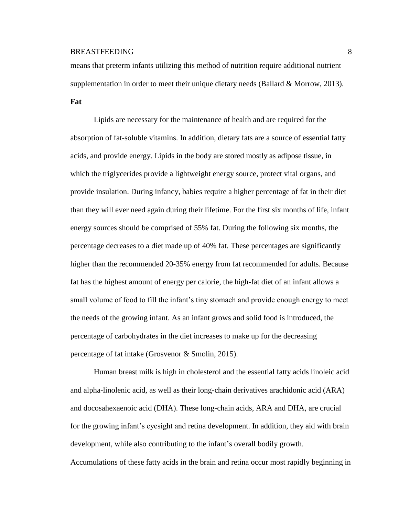means that preterm infants utilizing this method of nutrition require additional nutrient supplementation in order to meet their unique dietary needs (Ballard & Morrow, 2013).

**Fat**

Lipids are necessary for the maintenance of health and are required for the absorption of fat-soluble vitamins. In addition, dietary fats are a source of essential fatty acids, and provide energy. Lipids in the body are stored mostly as adipose tissue, in which the triglycerides provide a lightweight energy source, protect vital organs, and provide insulation. During infancy, babies require a higher percentage of fat in their diet than they will ever need again during their lifetime. For the first six months of life, infant energy sources should be comprised of 55% fat. During the following six months, the percentage decreases to a diet made up of 40% fat. These percentages are significantly higher than the recommended 20-35% energy from fat recommended for adults. Because fat has the highest amount of energy per calorie, the high-fat diet of an infant allows a small volume of food to fill the infant's tiny stomach and provide enough energy to meet the needs of the growing infant. As an infant grows and solid food is introduced, the percentage of carbohydrates in the diet increases to make up for the decreasing percentage of fat intake (Grosvenor & Smolin, 2015).

Human breast milk is high in cholesterol and the essential fatty acids linoleic acid and alpha-linolenic acid, as well as their long-chain derivatives arachidonic acid (ARA) and docosahexaenoic acid (DHA). These long-chain acids, ARA and DHA, are crucial for the growing infant's eyesight and retina development. In addition, they aid with brain development, while also contributing to the infant's overall bodily growth.

Accumulations of these fatty acids in the brain and retina occur most rapidly beginning in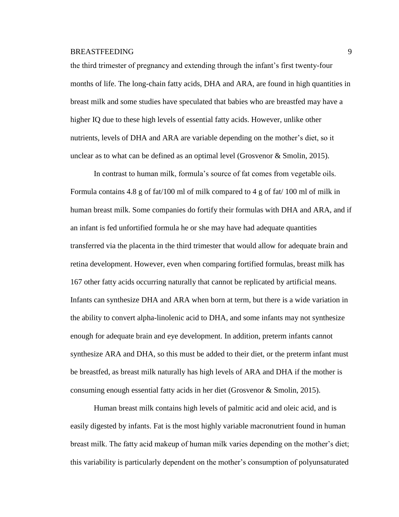the third trimester of pregnancy and extending through the infant's first twenty-four months of life. The long-chain fatty acids, DHA and ARA, are found in high quantities in breast milk and some studies have speculated that babies who are breastfed may have a higher IQ due to these high levels of essential fatty acids. However, unlike other nutrients, levels of DHA and ARA are variable depending on the mother's diet, so it unclear as to what can be defined as an optimal level (Grosvenor & Smolin, 2015).

In contrast to human milk, formula's source of fat comes from vegetable oils. Formula contains 4.8 g of fat/100 ml of milk compared to 4 g of fat/ 100 ml of milk in human breast milk. Some companies do fortify their formulas with DHA and ARA, and if an infant is fed unfortified formula he or she may have had adequate quantities transferred via the placenta in the third trimester that would allow for adequate brain and retina development. However, even when comparing fortified formulas, breast milk has 167 other fatty acids occurring naturally that cannot be replicated by artificial means. Infants can synthesize DHA and ARA when born at term, but there is a wide variation in the ability to convert alpha-linolenic acid to DHA, and some infants may not synthesize enough for adequate brain and eye development. In addition, preterm infants cannot synthesize ARA and DHA, so this must be added to their diet, or the preterm infant must be breastfed, as breast milk naturally has high levels of ARA and DHA if the mother is consuming enough essential fatty acids in her diet (Grosvenor & Smolin, 2015).

Human breast milk contains high levels of palmitic acid and oleic acid, and is easily digested by infants. Fat is the most highly variable macronutrient found in human breast milk. The fatty acid makeup of human milk varies depending on the mother's diet; this variability is particularly dependent on the mother's consumption of polyunsaturated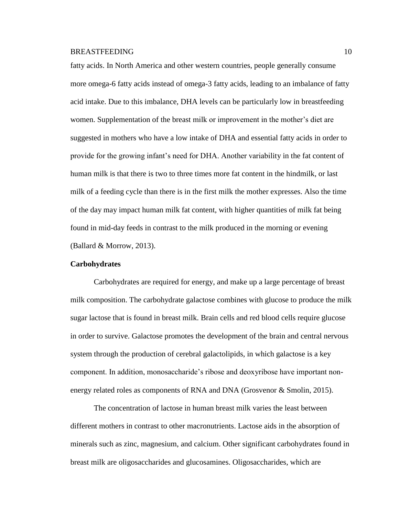fatty acids. In North America and other western countries, people generally consume more omega-6 fatty acids instead of omega-3 fatty acids, leading to an imbalance of fatty acid intake. Due to this imbalance, DHA levels can be particularly low in breastfeeding women. Supplementation of the breast milk or improvement in the mother's diet are suggested in mothers who have a low intake of DHA and essential fatty acids in order to provide for the growing infant's need for DHA. Another variability in the fat content of human milk is that there is two to three times more fat content in the hindmilk, or last milk of a feeding cycle than there is in the first milk the mother expresses. Also the time of the day may impact human milk fat content, with higher quantities of milk fat being found in mid-day feeds in contrast to the milk produced in the morning or evening (Ballard & Morrow, 2013).

### **Carbohydrates**

Carbohydrates are required for energy, and make up a large percentage of breast milk composition. The carbohydrate galactose combines with glucose to produce the milk sugar lactose that is found in breast milk. Brain cells and red blood cells require glucose in order to survive. Galactose promotes the development of the brain and central nervous system through the production of cerebral galactolipids, in which galactose is a key component. In addition, monosaccharide's ribose and deoxyribose have important nonenergy related roles as components of RNA and DNA (Grosvenor & Smolin, 2015).

The concentration of lactose in human breast milk varies the least between different mothers in contrast to other macronutrients. Lactose aids in the absorption of minerals such as zinc, magnesium, and calcium. Other significant carbohydrates found in breast milk are oligosaccharides and glucosamines. Oligosaccharides, which are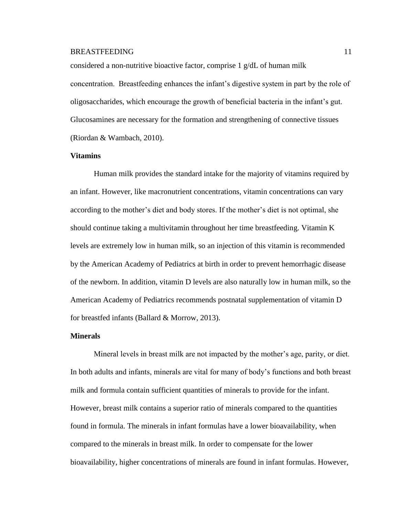considered a non-nutritive bioactive factor, comprise 1 g/dL of human milk concentration. Breastfeeding enhances the infant's digestive system in part by the role of oligosaccharides, which encourage the growth of beneficial bacteria in the infant's gut. Glucosamines are necessary for the formation and strengthening of connective tissues (Riordan & Wambach, 2010).

# **Vitamins**

Human milk provides the standard intake for the majority of vitamins required by an infant. However, like macronutrient concentrations, vitamin concentrations can vary according to the mother's diet and body stores. If the mother's diet is not optimal, she should continue taking a multivitamin throughout her time breastfeeding. Vitamin K levels are extremely low in human milk, so an injection of this vitamin is recommended by the American Academy of Pediatrics at birth in order to prevent hemorrhagic disease of the newborn. In addition, vitamin D levels are also naturally low in human milk, so the American Academy of Pediatrics recommends postnatal supplementation of vitamin D for breastfed infants (Ballard & Morrow, 2013).

### **Minerals**

Mineral levels in breast milk are not impacted by the mother's age, parity, or diet. In both adults and infants, minerals are vital for many of body's functions and both breast milk and formula contain sufficient quantities of minerals to provide for the infant. However, breast milk contains a superior ratio of minerals compared to the quantities found in formula. The minerals in infant formulas have a lower bioavailability, when compared to the minerals in breast milk. In order to compensate for the lower bioavailability, higher concentrations of minerals are found in infant formulas. However,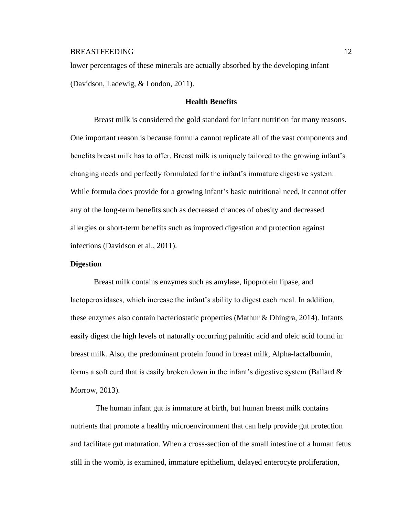lower percentages of these minerals are actually absorbed by the developing infant (Davidson, Ladewig, & London, 2011).

### **Health Benefits**

Breast milk is considered the gold standard for infant nutrition for many reasons. One important reason is because formula cannot replicate all of the vast components and benefits breast milk has to offer. Breast milk is uniquely tailored to the growing infant's changing needs and perfectly formulated for the infant's immature digestive system. While formula does provide for a growing infant's basic nutritional need, it cannot offer any of the long-term benefits such as decreased chances of obesity and decreased allergies or short-term benefits such as improved digestion and protection against infections (Davidson et al., 2011).

### **Digestion**

Breast milk contains enzymes such as amylase, lipoprotein lipase, and lactoperoxidases, which increase the infant's ability to digest each meal. In addition, these enzymes also contain bacteriostatic properties (Mathur & Dhingra, 2014). Infants easily digest the high levels of naturally occurring palmitic acid and oleic acid found in breast milk. Also, the predominant protein found in breast milk, Alpha-lactalbumin, forms a soft curd that is easily broken down in the infant's digestive system (Ballard  $\&$ Morrow, 2013).

The human infant gut is immature at birth, but human breast milk contains nutrients that promote a healthy microenvironment that can help provide gut protection and facilitate gut maturation. When a cross-section of the small intestine of a human fetus still in the womb, is examined, immature epithelium, delayed enterocyte proliferation,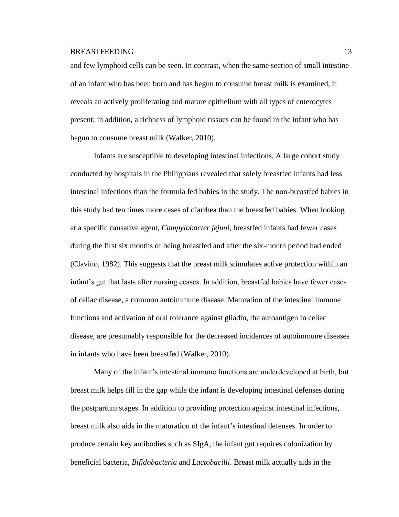and few lymphoid cells can be seen. In contrast, when the same section of small intestine of an infant who has been born and has begun to consume breast milk is examined, it reveals an actively proliferating and mature epithelium with all types of enterocytes present; in addition, a richness of lymphoid tissues can be found in the infant who has begun to consume breast milk (Walker, 2010).

Infants are susceptible to developing intestinal infections. A large cohort study conducted by hospitals in the Philippians revealed that solely breastfed infants had less intestinal infections than the formula fed babies in the study. The non-breastfed babies in this study had ten times more cases of diarrhea than the breastfed babies. When looking at a specific causative agent, *Campylobacter jejuni,* breastfed infants had fewer cases during the first six months of being breastfed and after the six-month period had ended (Clavino, 1982). This suggests that the breast milk stimulates active protection within an infant's gut that lasts after nursing ceases. In addition, breastfed babies have fewer cases of celiac disease, a common autoimmune disease. Maturation of the intestinal immune functions and activation of oral tolerance against gliadin, the autoantigen in celiac disease, are presumably responsible for the decreased incidences of autoimmune diseases in infants who have been breastfed (Walker, 2010).

Many of the infant's intestinal immune functions are underdeveloped at birth, but breast milk helps fill in the gap while the infant is developing intestinal defenses during the postpartum stages. In addition to providing protection against intestinal infections, breast milk also aids in the maturation of the infant's intestinal defenses. In order to produce certain key antibodies such as SIgA, the infant gut requires colonization by beneficial bacteria, *Bifidobacteria* and *Lactobacilli*. Breast milk actually aids in the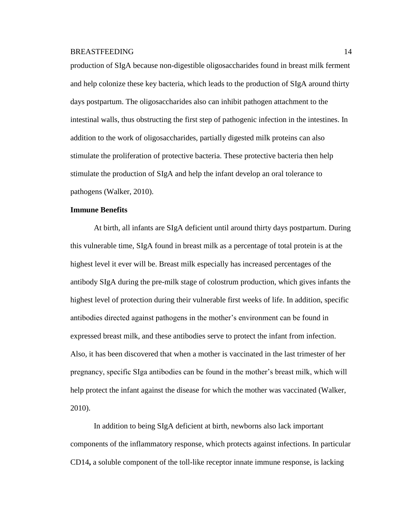production of SIgA because non-digestible oligosaccharides found in breast milk ferment and help colonize these key bacteria, which leads to the production of SIgA around thirty days postpartum. The oligosaccharides also can inhibit pathogen attachment to the intestinal walls, thus obstructing the first step of pathogenic infection in the intestines. In addition to the work of oligosaccharides, partially digested milk proteins can also stimulate the proliferation of protective bacteria. These protective bacteria then help stimulate the production of SIgA and help the infant develop an oral tolerance to pathogens (Walker, 2010).

# **Immune Benefits**

At birth, all infants are SIgA deficient until around thirty days postpartum. During this vulnerable time, SIgA found in breast milk as a percentage of total protein is at the highest level it ever will be. Breast milk especially has increased percentages of the antibody SIgA during the pre-milk stage of colostrum production, which gives infants the highest level of protection during their vulnerable first weeks of life. In addition, specific antibodies directed against pathogens in the mother's environment can be found in expressed breast milk, and these antibodies serve to protect the infant from infection. Also, it has been discovered that when a mother is vaccinated in the last trimester of her pregnancy, specific SIga antibodies can be found in the mother's breast milk, which will help protect the infant against the disease for which the mother was vaccinated (Walker, 2010).

In addition to being SIgA deficient at birth, newborns also lack important components of the inflammatory response, which protects against infections. In particular CD14**,** a soluble component of the toll-like receptor innate immune response, is lacking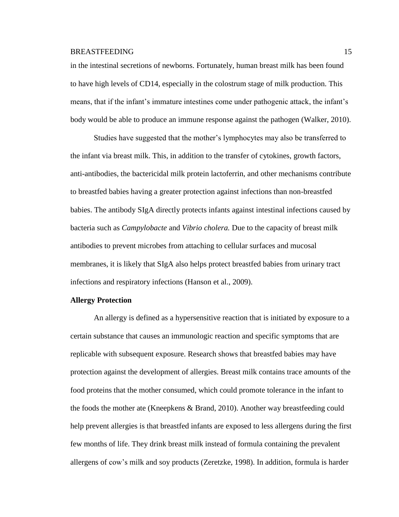in the intestinal secretions of newborns. Fortunately, human breast milk has been found to have high levels of CD14, especially in the colostrum stage of milk production. This means, that if the infant's immature intestines come under pathogenic attack, the infant's body would be able to produce an immune response against the pathogen (Walker, 2010).

Studies have suggested that the mother's lymphocytes may also be transferred to the infant via breast milk. This, in addition to the transfer of cytokines, growth factors, anti-antibodies, the bactericidal milk protein lactoferrin, and other mechanisms contribute to breastfed babies having a greater protection against infections than non-breastfed babies. The antibody SIgA directly protects infants against intestinal infections caused by bacteria such as *Campylobacte* and *Vibrio cholera.* Due to the capacity of breast milk antibodies to prevent microbes from attaching to cellular surfaces and mucosal membranes, it is likely that SIgA also helps protect breastfed babies from urinary tract infections and respiratory infections (Hanson et al., 2009).

# **Allergy Protection**

An allergy is defined as a hypersensitive reaction that is initiated by exposure to a certain substance that causes an immunologic reaction and specific symptoms that are replicable with subsequent exposure. Research shows that breastfed babies may have protection against the development of allergies. Breast milk contains trace amounts of the food proteins that the mother consumed, which could promote tolerance in the infant to the foods the mother ate (Kneepkens & Brand, 2010). Another way breastfeeding could help prevent allergies is that breastfed infants are exposed to less allergens during the first few months of life. They drink breast milk instead of formula containing the prevalent allergens of cow's milk and soy products (Zeretzke, 1998). In addition, formula is harder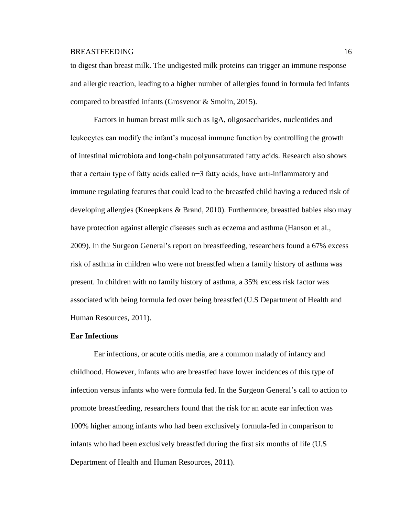to digest than breast milk. The undigested milk proteins can trigger an immune response and allergic reaction, leading to a higher number of allergies found in formula fed infants compared to breastfed infants (Grosvenor & Smolin, 2015).

Factors in human breast milk such as IgA, oligosaccharides, nucleotides and leukocytes can modify the infant's mucosal immune function by controlling the growth of intestinal microbiota and long-chain polyunsaturated fatty acids. Research also shows that a certain type of fatty acids called n−3 fatty acids, have anti-inflammatory and immune regulating features that could lead to the breastfed child having a reduced risk of developing allergies (Kneepkens & Brand, 2010). Furthermore, breastfed babies also may have protection against allergic diseases such as eczema and asthma (Hanson et al., 2009). In the Surgeon General's report on breastfeeding, researchers found a 67% excess risk of asthma in children who were not breastfed when a family history of asthma was present. In children with no family history of asthma, a 35% excess risk factor was associated with being formula fed over being breastfed (U.S Department of Health and Human Resources, 2011).

### **Ear Infections**

Ear infections, or acute otitis media, are a common malady of infancy and childhood. However, infants who are breastfed have lower incidences of this type of infection versus infants who were formula fed. In the Surgeon General's call to action to promote breastfeeding, researchers found that the risk for an acute ear infection was 100% higher among infants who had been exclusively formula-fed in comparison to infants who had been exclusively breastfed during the first six months of life (U.S Department of Health and Human Resources, 2011).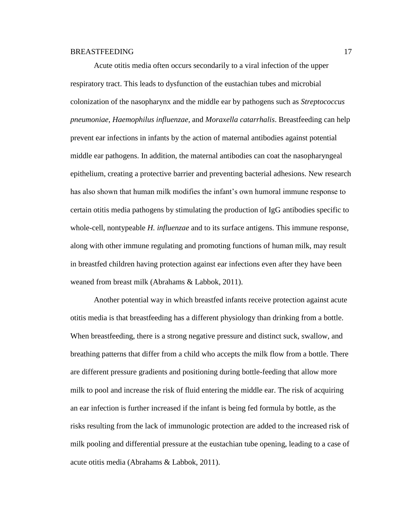Acute otitis media often occurs secondarily to a viral infection of the upper respiratory tract. This leads to dysfunction of the eustachian tubes and microbial colonization of the nasopharynx and the middle ear by pathogens such as *Streptococcus pneumoniae*, *Haemophilus influenzae*, and *Moraxella catarrhalis*. Breastfeeding can help prevent ear infections in infants by the action of maternal antibodies against potential middle ear pathogens. In addition, the maternal antibodies can coat the nasopharyngeal epithelium, creating a protective barrier and preventing bacterial adhesions. New research has also shown that human milk modifies the infant's own humoral immune response to certain otitis media pathogens by stimulating the production of IgG antibodies specific to whole-cell, nontypeable *H. influenzae* and to its surface antigens. This immune response, along with other immune regulating and promoting functions of human milk, may result in breastfed children having protection against ear infections even after they have been weaned from breast milk (Abrahams & Labbok, 2011).

Another potential way in which breastfed infants receive protection against acute otitis media is that breastfeeding has a different physiology than drinking from a bottle. When breastfeeding, there is a strong negative pressure and distinct suck, swallow, and breathing patterns that differ from a child who accepts the milk flow from a bottle. There are different pressure gradients and positioning during bottle-feeding that allow more milk to pool and increase the risk of fluid entering the middle ear. The risk of acquiring an ear infection is further increased if the infant is being fed formula by bottle, as the risks resulting from the lack of immunologic protection are added to the increased risk of milk pooling and differential pressure at the eustachian tube opening, leading to a case of acute otitis media (Abrahams & Labbok, 2011).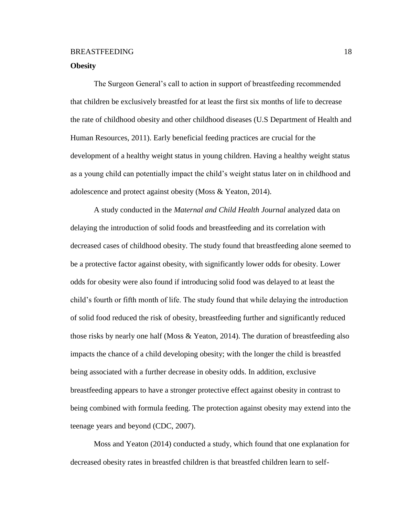### **Obesity**

The Surgeon General's call to action in support of breastfeeding recommended that children be exclusively breastfed for at least the first six months of life to decrease the rate of childhood obesity and other childhood diseases (U.S Department of Health and Human Resources, 2011). Early beneficial feeding practices are crucial for the development of a healthy weight status in young children. Having a healthy weight status as a young child can potentially impact the child's weight status later on in childhood and adolescence and protect against obesity (Moss & Yeaton, 2014).

A study conducted in the *Maternal and Child Health Journal* analyzed data on delaying the introduction of solid foods and breastfeeding and its correlation with decreased cases of childhood obesity. The study found that breastfeeding alone seemed to be a protective factor against obesity, with significantly lower odds for obesity. Lower odds for obesity were also found if introducing solid food was delayed to at least the child's fourth or fifth month of life. The study found that while delaying the introduction of solid food reduced the risk of obesity, breastfeeding further and significantly reduced those risks by nearly one half (Moss  $\&$  Yeaton, 2014). The duration of breastfeeding also impacts the chance of a child developing obesity; with the longer the child is breastfed being associated with a further decrease in obesity odds. In addition, exclusive breastfeeding appears to have a stronger protective effect against obesity in contrast to being combined with formula feeding. The protection against obesity may extend into the teenage years and beyond (CDC, 2007).

Moss and Yeaton (2014) conducted a study, which found that one explanation for decreased obesity rates in breastfed children is that breastfed children learn to self-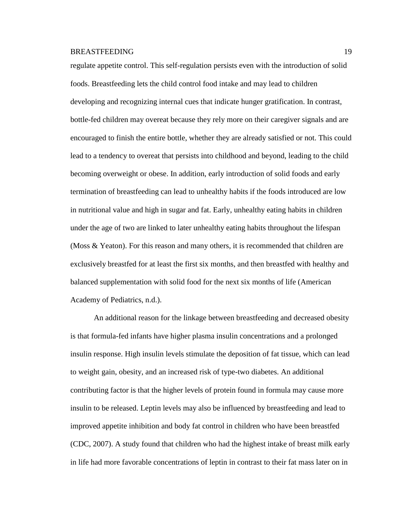regulate appetite control. This self-regulation persists even with the introduction of solid foods. Breastfeeding lets the child control food intake and may lead to children developing and recognizing internal cues that indicate hunger gratification. In contrast, bottle-fed children may overeat because they rely more on their caregiver signals and are encouraged to finish the entire bottle, whether they are already satisfied or not. This could lead to a tendency to overeat that persists into childhood and beyond, leading to the child becoming overweight or obese. In addition, early introduction of solid foods and early termination of breastfeeding can lead to unhealthy habits if the foods introduced are low in nutritional value and high in sugar and fat. Early, unhealthy eating habits in children under the age of two are linked to later unhealthy eating habits throughout the lifespan (Moss & Yeaton). For this reason and many others, it is recommended that children are exclusively breastfed for at least the first six months, and then breastfed with healthy and balanced supplementation with solid food for the next six months of life (American Academy of Pediatrics, n.d.).

An additional reason for the linkage between breastfeeding and decreased obesity is that formula-fed infants have higher plasma insulin concentrations and a prolonged insulin response. High insulin levels stimulate the deposition of fat tissue, which can lead to weight gain, obesity, and an increased risk of type-two diabetes. An additional contributing factor is that the higher levels of protein found in formula may cause more insulin to be released. Leptin levels may also be influenced by breastfeeding and lead to improved appetite inhibition and body fat control in children who have been breastfed (CDC, 2007). A study found that children who had the highest intake of breast milk early in life had more favorable concentrations of leptin in contrast to their fat mass later on in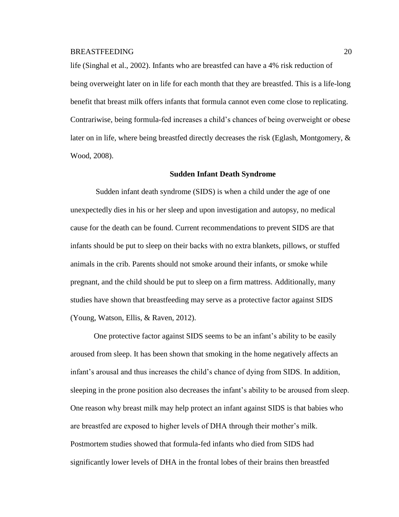life (Singhal et al., 2002). Infants who are breastfed can have a 4% risk reduction of being overweight later on in life for each month that they are breastfed. This is a life-long benefit that breast milk offers infants that formula cannot even come close to replicating. Contrariwise, being formula-fed increases a child's chances of being overweight or obese later on in life, where being breastfed directly decreases the risk (Eglash, Montgomery, & Wood, 2008).

#### **Sudden Infant Death Syndrome**

Sudden infant death syndrome (SIDS) is when a child under the age of one unexpectedly dies in his or her sleep and upon investigation and autopsy, no medical cause for the death can be found. Current recommendations to prevent SIDS are that infants should be put to sleep on their backs with no extra blankets, pillows, or stuffed animals in the crib. Parents should not smoke around their infants, or smoke while pregnant, and the child should be put to sleep on a firm mattress. Additionally, many studies have shown that breastfeeding may serve as a protective factor against SIDS (Young, Watson, Ellis, & Raven, 2012).

One protective factor against SIDS seems to be an infant's ability to be easily aroused from sleep. It has been shown that smoking in the home negatively affects an infant's arousal and thus increases the child's chance of dying from SIDS. In addition, sleeping in the prone position also decreases the infant's ability to be aroused from sleep. One reason why breast milk may help protect an infant against SIDS is that babies who are breastfed are exposed to higher levels of DHA through their mother's milk. Postmortem studies showed that formula-fed infants who died from SIDS had significantly lower levels of DHA in the frontal lobes of their brains then breastfed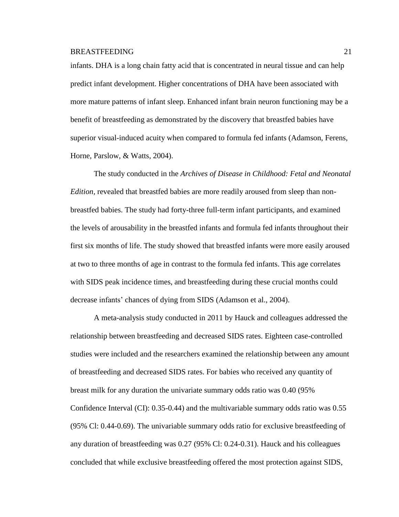infants. DHA is a long chain fatty acid that is concentrated in neural tissue and can help predict infant development. Higher concentrations of DHA have been associated with more mature patterns of infant sleep. Enhanced infant brain neuron functioning may be a benefit of breastfeeding as demonstrated by the discovery that breastfed babies have superior visual-induced acuity when compared to formula fed infants (Adamson, Ferens, Horne, Parslow, & Watts, 2004).

The study conducted in the *Archives of Disease in Childhood: Fetal and Neonatal Edition,* revealed that breastfed babies are more readily aroused from sleep than nonbreastfed babies. The study had forty-three full-term infant participants, and examined the levels of arousability in the breastfed infants and formula fed infants throughout their first six months of life. The study showed that breastfed infants were more easily aroused at two to three months of age in contrast to the formula fed infants. This age correlates with SIDS peak incidence times, and breastfeeding during these crucial months could decrease infants' chances of dying from SIDS (Adamson et al., 2004).

A meta-analysis study conducted in 2011 by Hauck and colleagues addressed the relationship between breastfeeding and decreased SIDS rates. Eighteen case-controlled studies were included and the researchers examined the relationship between any amount of breastfeeding and decreased SIDS rates. For babies who received any quantity of breast milk for any duration the univariate summary odds ratio was 0.40 (95% Confidence Interval (CI): 0.35-0.44) and the multivariable summary odds ratio was 0.55 (95% Cl: 0.44-0.69). The univariable summary odds ratio for exclusive breastfeeding of any duration of breastfeeding was 0.27 (95% Cl: 0.24-0.31). Hauck and his colleagues concluded that while exclusive breastfeeding offered the most protection against SIDS,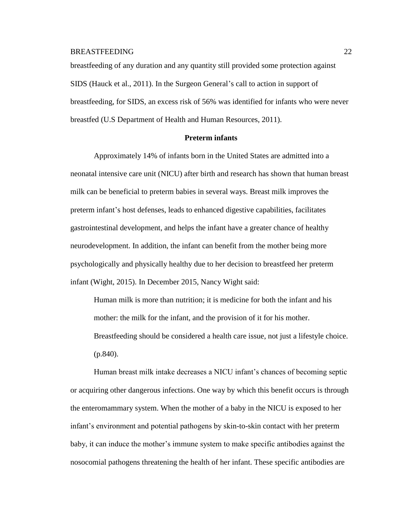breastfeeding of any duration and any quantity still provided some protection against SIDS (Hauck et al., 2011). In the Surgeon General's call to action in support of breastfeeding, for SIDS, an excess risk of 56% was identified for infants who were never breastfed (U.S Department of Health and Human Resources, 2011).

### **Preterm infants**

Approximately 14% of infants born in the United States are admitted into a neonatal intensive care unit (NICU) after birth and research has shown that human breast milk can be beneficial to preterm babies in several ways. Breast milk improves the preterm infant's host defenses, leads to enhanced digestive capabilities, facilitates gastrointestinal development, and helps the infant have a greater chance of healthy neurodevelopment. In addition, the infant can benefit from the mother being more psychologically and physically healthy due to her decision to breastfeed her preterm infant (Wight, 2015). In December 2015, Nancy Wight said:

Human milk is more than nutrition; it is medicine for both the infant and his mother: the milk for the infant, and the provision of it for his mother. Breastfeeding should be considered a health care issue, not just a lifestyle choice. (p.840).

Human breast milk intake decreases a NICU infant's chances of becoming septic or acquiring other dangerous infections. One way by which this benefit occurs is through the enteromammary system. When the mother of a baby in the NICU is exposed to her infant's environment and potential pathogens by skin-to-skin contact with her preterm baby, it can induce the mother's immune system to make specific antibodies against the nosocomial pathogens threatening the health of her infant. These specific antibodies are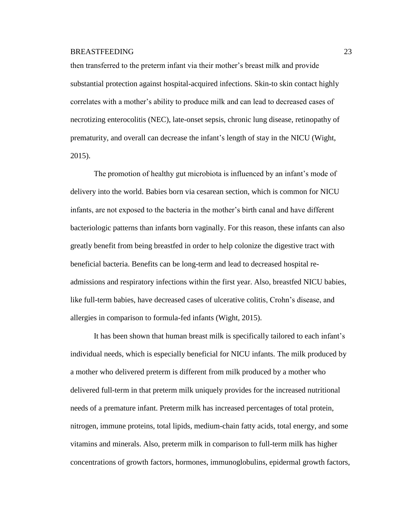then transferred to the preterm infant via their mother's breast milk and provide substantial protection against hospital-acquired infections. Skin-to skin contact highly correlates with a mother's ability to produce milk and can lead to decreased cases of necrotizing enterocolitis (NEC), late-onset sepsis, chronic lung disease, retinopathy of prematurity, and overall can decrease the infant's length of stay in the NICU (Wight, 2015).

The promotion of healthy gut microbiota is influenced by an infant's mode of delivery into the world. Babies born via cesarean section, which is common for NICU infants, are not exposed to the bacteria in the mother's birth canal and have different bacteriologic patterns than infants born vaginally. For this reason, these infants can also greatly benefit from being breastfed in order to help colonize the digestive tract with beneficial bacteria. Benefits can be long-term and lead to decreased hospital readmissions and respiratory infections within the first year. Also, breastfed NICU babies, like full-term babies, have decreased cases of ulcerative colitis, Crohn's disease, and allergies in comparison to formula-fed infants (Wight, 2015).

It has been shown that human breast milk is specifically tailored to each infant's individual needs, which is especially beneficial for NICU infants. The milk produced by a mother who delivered preterm is different from milk produced by a mother who delivered full-term in that preterm milk uniquely provides for the increased nutritional needs of a premature infant. Preterm milk has increased percentages of total protein, nitrogen, immune proteins, total lipids, medium-chain fatty acids, total energy, and some vitamins and minerals. Also, preterm milk in comparison to full-term milk has higher concentrations of growth factors, hormones, immunoglobulins, epidermal growth factors,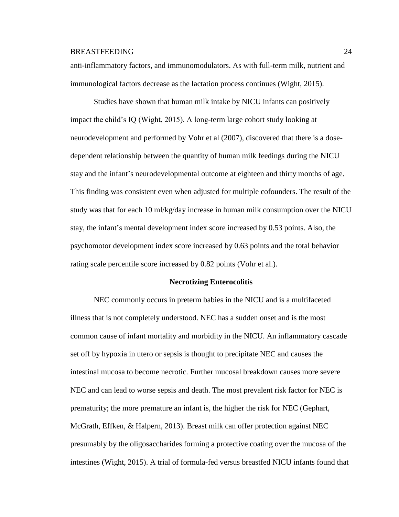anti-inflammatory factors, and immunomodulators. As with full-term milk, nutrient and immunological factors decrease as the lactation process continues (Wight, 2015).

Studies have shown that human milk intake by NICU infants can positively impact the child's IQ (Wight, 2015). A long-term large cohort study looking at neurodevelopment and performed by Vohr et al (2007), discovered that there is a dosedependent relationship between the quantity of human milk feedings during the NICU stay and the infant's neurodevelopmental outcome at eighteen and thirty months of age. This finding was consistent even when adjusted for multiple cofounders. The result of the study was that for each 10 ml/kg/day increase in human milk consumption over the NICU stay, the infant's mental development index score increased by 0.53 points. Also, the psychomotor development index score increased by 0.63 points and the total behavior rating scale percentile score increased by 0.82 points (Vohr et al.).

### **Necrotizing Enterocolitis**

NEC commonly occurs in preterm babies in the NICU and is a multifaceted illness that is not completely understood. NEC has a sudden onset and is the most common cause of infant mortality and morbidity in the NICU. An inflammatory cascade set off by hypoxia in utero or sepsis is thought to precipitate NEC and causes the intestinal mucosa to become necrotic. Further mucosal breakdown causes more severe NEC and can lead to worse sepsis and death. The most prevalent risk factor for NEC is prematurity; the more premature an infant is, the higher the risk for NEC (Gephart, McGrath, Effken, & Halpern, 2013). Breast milk can offer protection against NEC presumably by the oligosaccharides forming a protective coating over the mucosa of the intestines (Wight, 2015). A trial of formula-fed versus breastfed NICU infants found that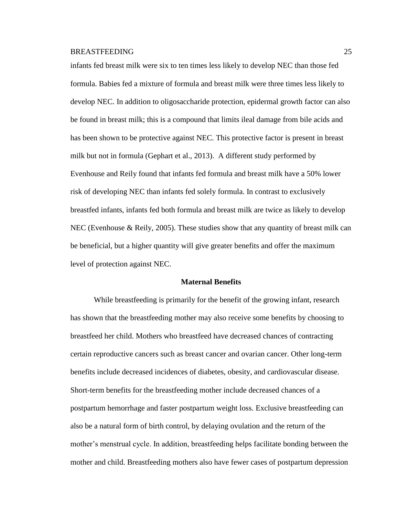infants fed breast milk were six to ten times less likely to develop NEC than those fed formula. Babies fed a mixture of formula and breast milk were three times less likely to develop NEC. In addition to oligosaccharide protection, epidermal growth factor can also be found in breast milk; this is a compound that limits ileal damage from bile acids and has been shown to be protective against NEC. This protective factor is present in breast milk but not in formula (Gephart et al., 2013). A different study performed by Evenhouse and Reily found that infants fed formula and breast milk have a 50% lower risk of developing NEC than infants fed solely formula. In contrast to exclusively breastfed infants, infants fed both formula and breast milk are twice as likely to develop NEC (Evenhouse & Reily, 2005). These studies show that any quantity of breast milk can be beneficial, but a higher quantity will give greater benefits and offer the maximum level of protection against NEC.

### **Maternal Benefits**

While breastfeeding is primarily for the benefit of the growing infant, research has shown that the breastfeeding mother may also receive some benefits by choosing to breastfeed her child. Mothers who breastfeed have decreased chances of contracting certain reproductive cancers such as breast cancer and ovarian cancer. Other long-term benefits include decreased incidences of diabetes, obesity, and cardiovascular disease. Short-term benefits for the breastfeeding mother include decreased chances of a postpartum hemorrhage and faster postpartum weight loss. Exclusive breastfeeding can also be a natural form of birth control, by delaying ovulation and the return of the mother's menstrual cycle. In addition, breastfeeding helps facilitate bonding between the mother and child. Breastfeeding mothers also have fewer cases of postpartum depression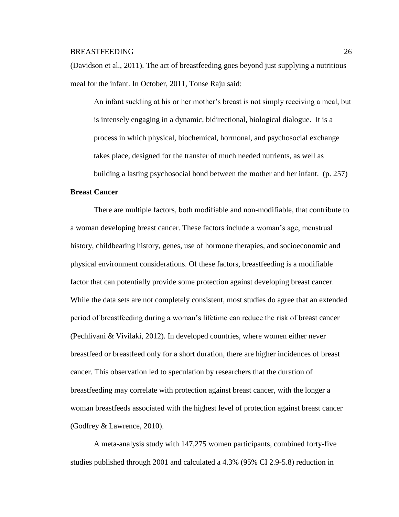(Davidson et al., 2011). The act of breastfeeding goes beyond just supplying a nutritious meal for the infant. In October, 2011, Tonse Raju said:

An infant suckling at his or her mother's breast is not simply receiving a meal, but is intensely engaging in a dynamic, bidirectional, biological dialogue. It is a process in which physical, biochemical, hormonal, and psychosocial exchange takes place, designed for the transfer of much needed nutrients, as well as building a lasting psychosocial bond between the mother and her infant. (p. 257)

### **Breast Cancer**

There are multiple factors, both modifiable and non-modifiable, that contribute to a woman developing breast cancer. These factors include a woman's age, menstrual history, childbearing history, genes, use of hormone therapies, and socioeconomic and physical environment considerations. Of these factors, breastfeeding is a modifiable factor that can potentially provide some protection against developing breast cancer. While the data sets are not completely consistent, most studies do agree that an extended period of breastfeeding during a woman's lifetime can reduce the risk of breast cancer (Pechlivani & Vivilaki, 2012). In developed countries, where women either never breastfeed or breastfeed only for a short duration, there are higher incidences of breast cancer. This observation led to speculation by researchers that the duration of breastfeeding may correlate with protection against breast cancer, with the longer a woman breastfeeds associated with the highest level of protection against breast cancer (Godfrey & Lawrence, 2010).

A meta-analysis study with 147,275 women participants, combined forty-five studies published through 2001 and calculated a 4.3% (95% CI 2.9-5.8) reduction in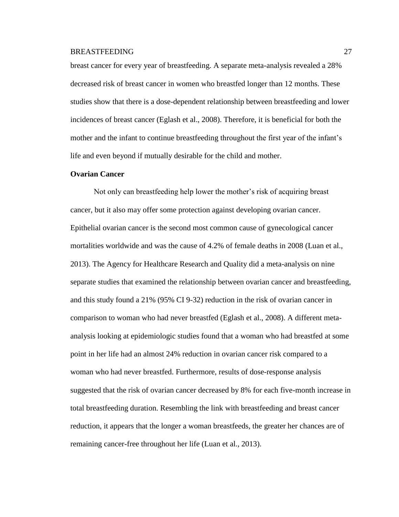breast cancer for every year of breastfeeding. A separate meta-analysis revealed a 28% decreased risk of breast cancer in women who breastfed longer than 12 months. These studies show that there is a dose-dependent relationship between breastfeeding and lower incidences of breast cancer (Eglash et al., 2008). Therefore, it is beneficial for both the mother and the infant to continue breastfeeding throughout the first year of the infant's life and even beyond if mutually desirable for the child and mother.

### **Ovarian Cancer**

Not only can breastfeeding help lower the mother's risk of acquiring breast cancer, but it also may offer some protection against developing ovarian cancer. Epithelial ovarian cancer is the second most common cause of gynecological cancer mortalities worldwide and was the cause of 4.2% of female deaths in 2008 (Luan et al., 2013). The Agency for Healthcare Research and Quality did a meta-analysis on nine separate studies that examined the relationship between ovarian cancer and breastfeeding, and this study found a 21% (95% CI 9-32) reduction in the risk of ovarian cancer in comparison to woman who had never breastfed (Eglash et al., 2008). A different metaanalysis looking at epidemiologic studies found that a woman who had breastfed at some point in her life had an almost 24% reduction in ovarian cancer risk compared to a woman who had never breastfed. Furthermore, results of dose-response analysis suggested that the risk of ovarian cancer decreased by 8% for each five-month increase in total breastfeeding duration. Resembling the link with breastfeeding and breast cancer reduction, it appears that the longer a woman breastfeeds, the greater her chances are of remaining cancer-free throughout her life (Luan et al., 2013).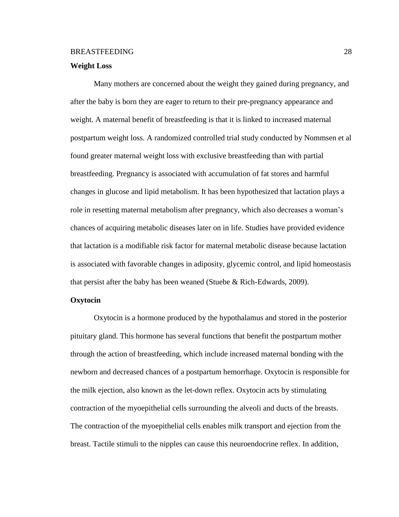### **Weight Loss**

Many mothers are concerned about the weight they gained during pregnancy, and after the baby is born they are eager to return to their pre-pregnancy appearance and weight. A maternal benefit of breastfeeding is that it is linked to increased maternal postpartum weight loss. A randomized controlled trial study conducted by Nommsen et al found greater maternal weight loss with exclusive breastfeeding than with partial breastfeeding. Pregnancy is associated with accumulation of fat stores and harmful changes in glucose and lipid metabolism. It has been hypothesized that lactation plays a role in resetting maternal metabolism after pregnancy, which also decreases a woman's chances of acquiring metabolic diseases later on in life. Studies have provided evidence that lactation is a modifiable risk factor for maternal metabolic disease because lactation is associated with favorable changes in adiposity, glycemic control, and lipid homeostasis that persist after the baby has been weaned (Stuebe & Rich-Edwards, 2009).

# **Oxytocin**

Oxytocin is a hormone produced by the hypothalamus and stored in the posterior pituitary gland. This hormone has several functions that benefit the postpartum mother through the action of breastfeeding, which include increased maternal bonding with the newborn and decreased chances of a postpartum hemorrhage. Oxytocin is responsible for the milk ejection, also known as the let-down reflex. Oxytocin acts by stimulating contraction of the myoepithelial cells surrounding the alveoli and ducts of the breasts. The contraction of the myoepithelial cells enables milk transport and ejection from the breast. Tactile stimuli to the nipples can cause this neuroendocrine reflex. In addition,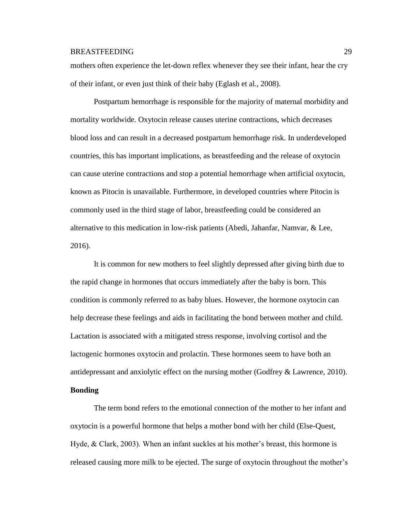mothers often experience the let-down reflex whenever they see their infant, hear the cry of their infant, or even just think of their baby (Eglash et al., 2008).

Postpartum hemorrhage is responsible for the majority of maternal morbidity and mortality worldwide. Oxytocin release causes uterine contractions, which decreases blood loss and can result in a decreased postpartum hemorrhage risk. In underdeveloped countries, this has important implications, as breastfeeding and the release of oxytocin can cause uterine contractions and stop a potential hemorrhage when artificial oxytocin, known as Pitocin is unavailable. Furthermore, in developed countries where Pitocin is commonly used in the third stage of labor, breastfeeding could be considered an alternative to this medication in low-risk patients (Abedi, Jahanfar, Namvar, & Lee, 2016).

It is common for new mothers to feel slightly depressed after giving birth due to the rapid change in hormones that occurs immediately after the baby is born. This condition is commonly referred to as baby blues. However, the hormone oxytocin can help decrease these feelings and aids in facilitating the bond between mother and child. Lactation is associated with a mitigated stress response, involving cortisol and the lactogenic hormones oxytocin and prolactin. These hormones seem to have both an antidepressant and anxiolytic effect on the nursing mother (Godfrey & Lawrence, 2010). **Bonding**

The term bond refers to the emotional connection of the mother to her infant and oxytocin is a powerful hormone that helps a mother bond with her child (Else-Quest, Hyde, & Clark, 2003). When an infant suckles at his mother's breast, this hormone is released causing more milk to be ejected. The surge of oxytocin throughout the mother's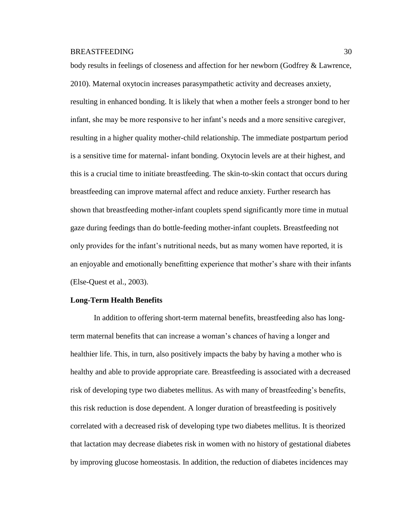body results in feelings of closeness and affection for her newborn (Godfrey & Lawrence, 2010). Maternal oxytocin increases parasympathetic activity and decreases anxiety, resulting in enhanced bonding. It is likely that when a mother feels a stronger bond to her infant, she may be more responsive to her infant's needs and a more sensitive caregiver, resulting in a higher quality mother-child relationship. The immediate postpartum period is a sensitive time for maternal- infant bonding. Oxytocin levels are at their highest, and this is a crucial time to initiate breastfeeding. The skin-to-skin contact that occurs during breastfeeding can improve maternal affect and reduce anxiety. Further research has shown that breastfeeding mother-infant couplets spend significantly more time in mutual gaze during feedings than do bottle-feeding mother-infant couplets. Breastfeeding not only provides for the infant's nutritional needs, but as many women have reported, it is an enjoyable and emotionally benefitting experience that mother's share with their infants (Else-Quest et al., 2003).

## **Long-Term Health Benefits**

In addition to offering short-term maternal benefits, breastfeeding also has longterm maternal benefits that can increase a woman's chances of having a longer and healthier life. This, in turn, also positively impacts the baby by having a mother who is healthy and able to provide appropriate care. Breastfeeding is associated with a decreased risk of developing type two diabetes mellitus. As with many of breastfeeding's benefits, this risk reduction is dose dependent. A longer duration of breastfeeding is positively correlated with a decreased risk of developing type two diabetes mellitus. It is theorized that lactation may decrease diabetes risk in women with no history of gestational diabetes by improving glucose homeostasis. In addition, the reduction of diabetes incidences may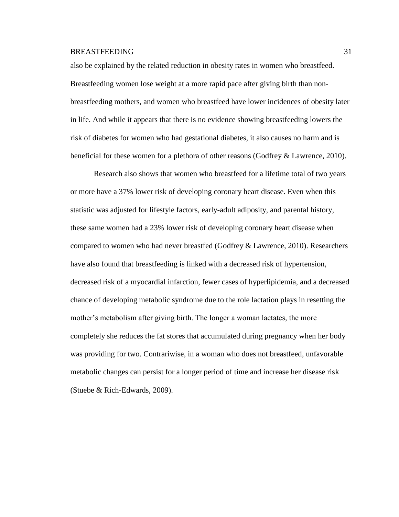also be explained by the related reduction in obesity rates in women who breastfeed. Breastfeeding women lose weight at a more rapid pace after giving birth than nonbreastfeeding mothers, and women who breastfeed have lower incidences of obesity later in life. And while it appears that there is no evidence showing breastfeeding lowers the risk of diabetes for women who had gestational diabetes, it also causes no harm and is beneficial for these women for a plethora of other reasons (Godfrey & Lawrence, 2010).

Research also shows that women who breastfeed for a lifetime total of two years or more have a 37% lower risk of developing coronary heart disease. Even when this statistic was adjusted for lifestyle factors, early-adult adiposity, and parental history, these same women had a 23% lower risk of developing coronary heart disease when compared to women who had never breastfed (Godfrey & Lawrence, 2010). Researchers have also found that breastfeeding is linked with a decreased risk of hypertension, decreased risk of a myocardial infarction, fewer cases of hyperlipidemia, and a decreased chance of developing metabolic syndrome due to the role lactation plays in resetting the mother's metabolism after giving birth. The longer a woman lactates, the more completely she reduces the fat stores that accumulated during pregnancy when her body was providing for two. Contrariwise, in a woman who does not breastfeed, unfavorable metabolic changes can persist for a longer period of time and increase her disease risk (Stuebe & Rich-Edwards, 2009).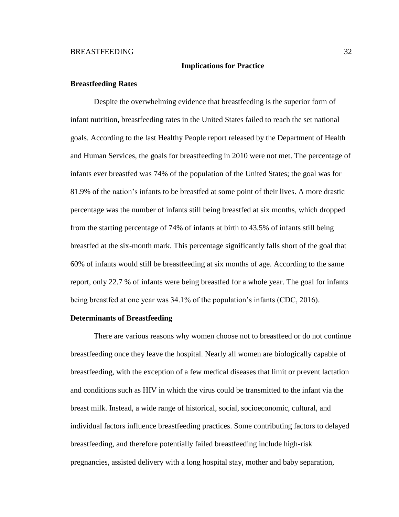### **Implications for Practice**

### **Breastfeeding Rates**

Despite the overwhelming evidence that breastfeeding is the superior form of infant nutrition, breastfeeding rates in the United States failed to reach the set national goals. According to the last Healthy People report released by the Department of Health and Human Services, the goals for breastfeeding in 2010 were not met. The percentage of infants ever breastfed was 74% of the population of the United States; the goal was for 81.9% of the nation's infants to be breastfed at some point of their lives. A more drastic percentage was the number of infants still being breastfed at six months, which dropped from the starting percentage of 74% of infants at birth to 43.5% of infants still being breastfed at the six-month mark. This percentage significantly falls short of the goal that 60% of infants would still be breastfeeding at six months of age. According to the same report, only 22.7 % of infants were being breastfed for a whole year. The goal for infants being breastfed at one year was 34.1% of the population's infants (CDC, 2016).

### **Determinants of Breastfeeding**

There are various reasons why women choose not to breastfeed or do not continue breastfeeding once they leave the hospital. Nearly all women are biologically capable of breastfeeding, with the exception of a few medical diseases that limit or prevent lactation and conditions such as HIV in which the virus could be transmitted to the infant via the breast milk. Instead, a wide range of historical, social, socioeconomic, cultural, and individual factors influence breastfeeding practices. Some contributing factors to delayed breastfeeding, and therefore potentially failed breastfeeding include high-risk pregnancies, assisted delivery with a long hospital stay, mother and baby separation,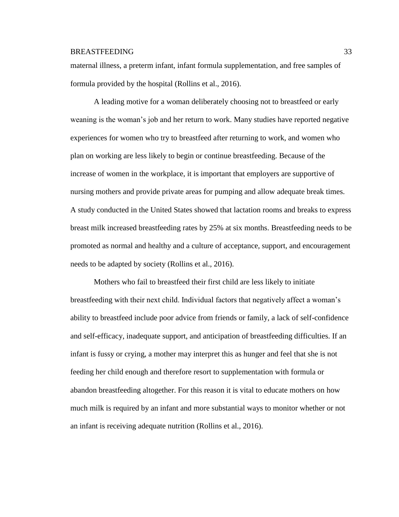maternal illness, a preterm infant, infant formula supplementation, and free samples of formula provided by the hospital (Rollins et al., 2016).

A leading motive for a woman deliberately choosing not to breastfeed or early weaning is the woman's job and her return to work. Many studies have reported negative experiences for women who try to breastfeed after returning to work, and women who plan on working are less likely to begin or continue breastfeeding. Because of the increase of women in the workplace, it is important that employers are supportive of nursing mothers and provide private areas for pumping and allow adequate break times. A study conducted in the United States showed that lactation rooms and breaks to express breast milk increased breastfeeding rates by 25% at six months. Breastfeeding needs to be promoted as normal and healthy and a culture of acceptance, support, and encouragement needs to be adapted by society (Rollins et al., 2016).

Mothers who fail to breastfeed their first child are less likely to initiate breastfeeding with their next child. Individual factors that negatively affect a woman's ability to breastfeed include poor advice from friends or family, a lack of self-confidence and self-efficacy, inadequate support, and anticipation of breastfeeding difficulties. If an infant is fussy or crying, a mother may interpret this as hunger and feel that she is not feeding her child enough and therefore resort to supplementation with formula or abandon breastfeeding altogether. For this reason it is vital to educate mothers on how much milk is required by an infant and more substantial ways to monitor whether or not an infant is receiving adequate nutrition (Rollins et al., 2016).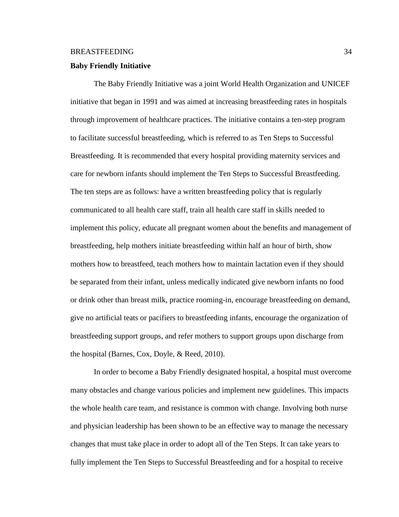### **Baby Friendly Initiative**

The Baby Friendly Initiative was a joint World Health Organization and UNICEF initiative that began in 1991 and was aimed at increasing breastfeeding rates in hospitals through improvement of healthcare practices. The initiative contains a ten-step program to facilitate successful breastfeeding, which is referred to as Ten Steps to Successful Breastfeeding. It is recommended that every hospital providing maternity services and care for newborn infants should implement the Ten Steps to Successful Breastfeeding. The ten steps are as follows: have a written breastfeeding policy that is regularly communicated to all health care staff, train all health care staff in skills needed to implement this policy, educate all pregnant women about the benefits and management of breastfeeding, help mothers initiate breastfeeding within half an hour of birth, show mothers how to breastfeed, teach mothers how to maintain lactation even if they should be separated from their infant, unless medically indicated give newborn infants no food or drink other than breast milk, practice rooming-in, encourage breastfeeding on demand, give no artificial teats or pacifiers to breastfeeding infants, encourage the organization of breastfeeding support groups, and refer mothers to support groups upon discharge from the hospital (Barnes, Cox, Doyle, & Reed, 2010).

In order to become a Baby Friendly designated hospital, a hospital must overcome many obstacles and change various policies and implement new guidelines. This impacts the whole health care team, and resistance is common with change. Involving both nurse and physician leadership has been shown to be an effective way to manage the necessary changes that must take place in order to adopt all of the Ten Steps. It can take years to fully implement the Ten Steps to Successful Breastfeeding and for a hospital to receive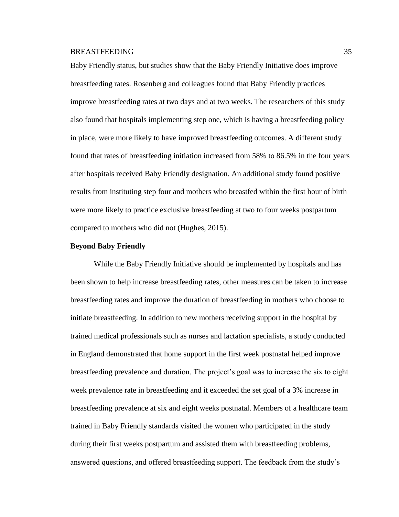Baby Friendly status, but studies show that the Baby Friendly Initiative does improve breastfeeding rates. Rosenberg and colleagues found that Baby Friendly practices improve breastfeeding rates at two days and at two weeks. The researchers of this study also found that hospitals implementing step one, which is having a breastfeeding policy in place, were more likely to have improved breastfeeding outcomes. A different study found that rates of breastfeeding initiation increased from 58% to 86.5% in the four years after hospitals received Baby Friendly designation. An additional study found positive results from instituting step four and mothers who breastfed within the first hour of birth were more likely to practice exclusive breastfeeding at two to four weeks postpartum compared to mothers who did not (Hughes, 2015).

### **Beyond Baby Friendly**

While the Baby Friendly Initiative should be implemented by hospitals and has been shown to help increase breastfeeding rates, other measures can be taken to increase breastfeeding rates and improve the duration of breastfeeding in mothers who choose to initiate breastfeeding. In addition to new mothers receiving support in the hospital by trained medical professionals such as nurses and lactation specialists, a study conducted in England demonstrated that home support in the first week postnatal helped improve breastfeeding prevalence and duration. The project's goal was to increase the six to eight week prevalence rate in breastfeeding and it exceeded the set goal of a 3% increase in breastfeeding prevalence at six and eight weeks postnatal. Members of a healthcare team trained in Baby Friendly standards visited the women who participated in the study during their first weeks postpartum and assisted them with breastfeeding problems, answered questions, and offered breastfeeding support. The feedback from the study's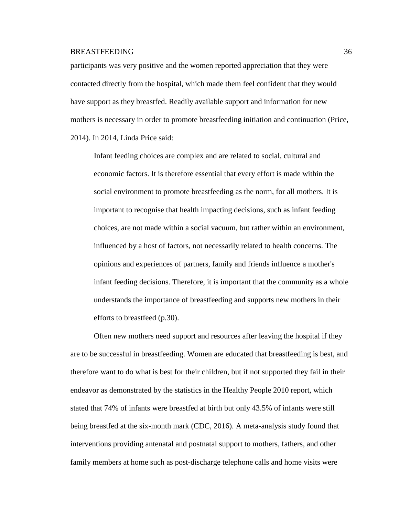participants was very positive and the women reported appreciation that they were contacted directly from the hospital, which made them feel confident that they would have support as they breastfed. Readily available support and information for new mothers is necessary in order to promote breastfeeding initiation and continuation (Price, 2014). In 2014, Linda Price said:

Infant feeding choices are complex and are related to social, cultural and economic factors. It is therefore essential that every effort is made within the social environment to promote breastfeeding as the norm, for all mothers. It is important to recognise that health impacting decisions, such as infant feeding choices, are not made within a social vacuum, but rather within an environment, influenced by a host of factors, not necessarily related to health concerns. The opinions and experiences of partners, family and friends influence a mother's infant feeding decisions. Therefore, it is important that the community as a whole understands the importance of breastfeeding and supports new mothers in their efforts to breastfeed (p.30).

Often new mothers need support and resources after leaving the hospital if they are to be successful in breastfeeding. Women are educated that breastfeeding is best, and therefore want to do what is best for their children, but if not supported they fail in their endeavor as demonstrated by the statistics in the Healthy People 2010 report, which stated that 74% of infants were breastfed at birth but only 43.5% of infants were still being breastfed at the six-month mark (CDC, 2016). A meta-analysis study found that interventions providing antenatal and postnatal support to mothers, fathers, and other family members at home such as post-discharge telephone calls and home visits were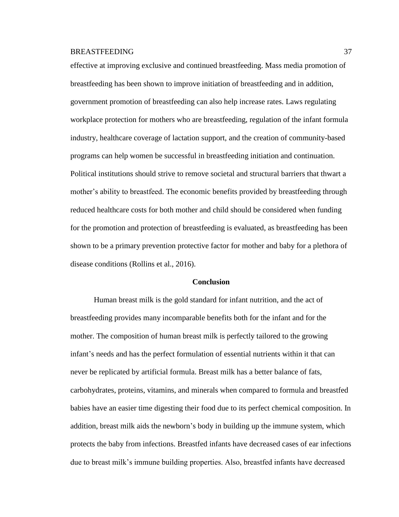effective at improving exclusive and continued breastfeeding. Mass media promotion of breastfeeding has been shown to improve initiation of breastfeeding and in addition, government promotion of breastfeeding can also help increase rates. Laws regulating workplace protection for mothers who are breastfeeding, regulation of the infant formula industry, healthcare coverage of lactation support, and the creation of community-based programs can help women be successful in breastfeeding initiation and continuation. Political institutions should strive to remove societal and structural barriers that thwart a mother's ability to breastfeed. The economic benefits provided by breastfeeding through reduced healthcare costs for both mother and child should be considered when funding for the promotion and protection of breastfeeding is evaluated, as breastfeeding has been shown to be a primary prevention protective factor for mother and baby for a plethora of disease conditions (Rollins et al., 2016).

# **Conclusion**

Human breast milk is the gold standard for infant nutrition, and the act of breastfeeding provides many incomparable benefits both for the infant and for the mother. The composition of human breast milk is perfectly tailored to the growing infant's needs and has the perfect formulation of essential nutrients within it that can never be replicated by artificial formula. Breast milk has a better balance of fats, carbohydrates, proteins, vitamins, and minerals when compared to formula and breastfed babies have an easier time digesting their food due to its perfect chemical composition. In addition, breast milk aids the newborn's body in building up the immune system, which protects the baby from infections. Breastfed infants have decreased cases of ear infections due to breast milk's immune building properties. Also, breastfed infants have decreased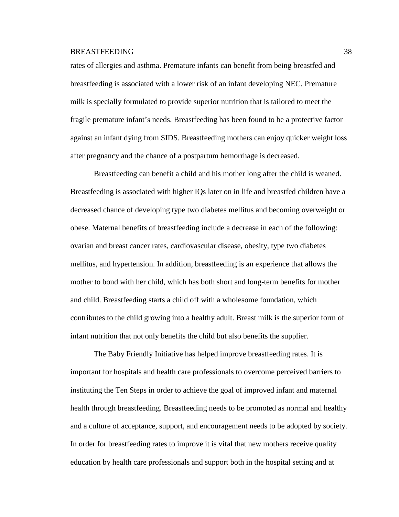rates of allergies and asthma. Premature infants can benefit from being breastfed and breastfeeding is associated with a lower risk of an infant developing NEC. Premature milk is specially formulated to provide superior nutrition that is tailored to meet the fragile premature infant's needs. Breastfeeding has been found to be a protective factor against an infant dying from SIDS. Breastfeeding mothers can enjoy quicker weight loss after pregnancy and the chance of a postpartum hemorrhage is decreased.

Breastfeeding can benefit a child and his mother long after the child is weaned. Breastfeeding is associated with higher IQs later on in life and breastfed children have a decreased chance of developing type two diabetes mellitus and becoming overweight or obese. Maternal benefits of breastfeeding include a decrease in each of the following: ovarian and breast cancer rates, cardiovascular disease, obesity, type two diabetes mellitus, and hypertension. In addition, breastfeeding is an experience that allows the mother to bond with her child, which has both short and long-term benefits for mother and child. Breastfeeding starts a child off with a wholesome foundation, which contributes to the child growing into a healthy adult. Breast milk is the superior form of infant nutrition that not only benefits the child but also benefits the supplier.

The Baby Friendly Initiative has helped improve breastfeeding rates. It is important for hospitals and health care professionals to overcome perceived barriers to instituting the Ten Steps in order to achieve the goal of improved infant and maternal health through breastfeeding. Breastfeeding needs to be promoted as normal and healthy and a culture of acceptance, support, and encouragement needs to be adopted by society. In order for breastfeeding rates to improve it is vital that new mothers receive quality education by health care professionals and support both in the hospital setting and at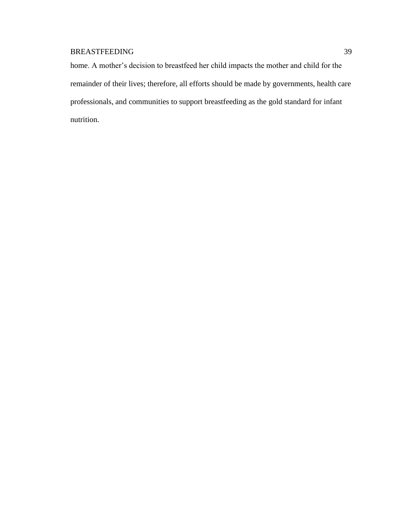home. A mother's decision to breastfeed her child impacts the mother and child for the remainder of their lives; therefore, all efforts should be made by governments, health care professionals, and communities to support breastfeeding as the gold standard for infant nutrition.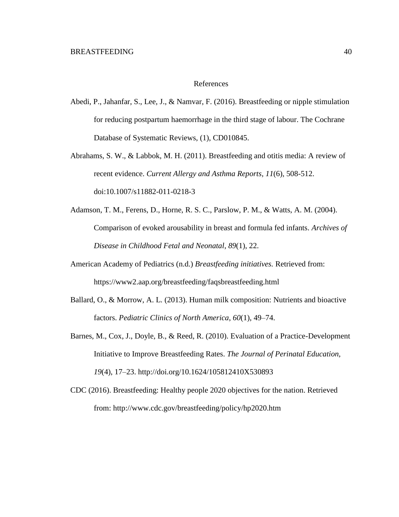### References

- Abedi, P., Jahanfar, S., Lee, J., & Namvar, F. (2016). Breastfeeding or nipple stimulation for reducing postpartum haemorrhage in the third stage of labour. The Cochrane Database of Systematic Reviews, (1), CD010845.
- Abrahams, S. W., & Labbok, M. H. (2011). Breastfeeding and otitis media: A review of recent evidence. *Current Allergy and Asthma Reports, 11*(6), 508-512. doi:10.1007/s11882-011-0218-3
- Adamson, T. M., Ferens, D., Horne, R. S. C., Parslow, P. M., & Watts, A. M. (2004). Comparison of evoked arousability in breast and formula fed infants. *Archives of Disease in Childhood Fetal and Neonatal*, *89*(1), 22.
- American Academy of Pediatrics (n.d.) *Breastfeeding initiatives.* Retrieved from: https://www2.aap.org/breastfeeding/faqsbreastfeeding.html
- Ballard, O., & Morrow, A. L. (2013). Human milk composition: Nutrients and bioactive factors. *Pediatric Clinics of North America*, *60*(1), 49–74.
- Barnes, M., Cox, J., Doyle, B., & Reed, R. (2010). Evaluation of a Practice-Development Initiative to Improve Breastfeeding Rates. *The Journal of Perinatal Education, 19*(4), 17–23. http://doi.org/10.1624/105812410X530893
- CDC (2016). Breastfeeding: Healthy people 2020 objectives for the nation. Retrieved from: http://www.cdc.gov/breastfeeding/policy/hp2020.htm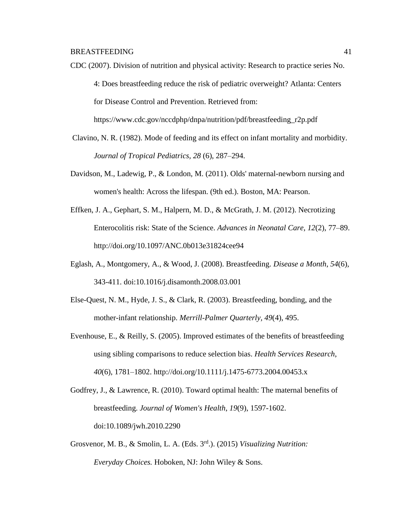CDC (2007). Division of nutrition and physical activity: Research to practice series No. 4: Does breastfeeding reduce the risk of pediatric overweight? Atlanta: Centers for Disease Control and Prevention. Retrieved from:

https://www.cdc.gov/nccdphp/dnpa/nutrition/pdf/breastfeeding\_r2p.pdf

- Clavino, N. R. (1982). Mode of feeding and its effect on infant mortality and morbidity. *Journal of Tropical Pediatrics, 28* (6), 287–294.
- Davidson, M., Ladewig, P., & London, M. (2011). Olds' maternal-newborn nursing and women's health: Across the lifespan. (9th ed.). Boston, MA: Pearson.
- Effken, J. A., Gephart, S. M., Halpern, M. D., & McGrath, J. M. (2012). Necrotizing Enterocolitis risk: State of the Science. *Advances in Neonatal Care*, *12*(2), 77–89. http://doi.org/10.1097/ANC.0b013e31824cee94
- Eglash, A., Montgomery, A., & Wood, J. (2008). Breastfeeding. *Disease a Month*, *54*(6), 343-411. doi:10.1016/j.disamonth.2008.03.001
- Else-Quest, N. M., Hyde, J. S., & Clark, R. (2003). Breastfeeding, bonding, and the mother-infant relationship. *Merrill-Palmer Quarterly, 49*(4), 495.
- Evenhouse, E., & Reilly, S. (2005). Improved estimates of the benefits of breastfeeding using sibling comparisons to reduce selection bias. *Health Services Research*, *40*(6), 1781–1802. http://doi.org/10.1111/j.1475-6773.2004.00453.x
- Godfrey, J., & Lawrence, R. (2010). Toward optimal health: The maternal benefits of breastfeeding. *Journal of Women's Health*, *19*(9), 1597-1602. doi:10.1089/jwh.2010.2290
- Grosvenor, M. B., & Smolin, L. A. (Eds. 3rd.). (2015) *Visualizing Nutrition: Everyday Choices.* Hoboken, NJ: John Wiley & Sons.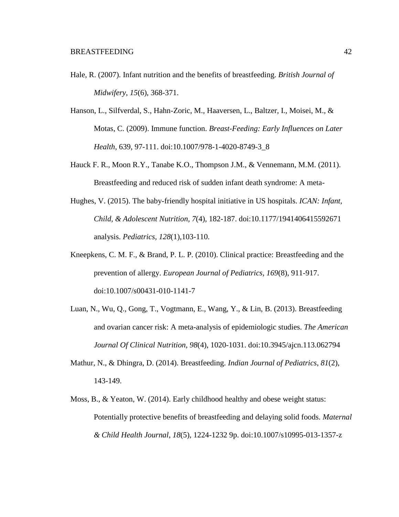- Hale, R. (2007). Infant nutrition and the benefits of breastfeeding. *British Journal of Midwifery*, *15*(6), 368-371.
- Hanson, L., Silfverdal, S., Hahn-Zoric, M., Haaversen, L., Baltzer, I., Moisei, M., & Motas, C. (2009). Immune function. *Breast-Feeding: Early Influences on Later Health*, 639, 97-111. doi:10.1007/978-1-4020-8749-3\_8
- Hauck F. R., Moon R.Y., Tanabe K.O., Thompson J.M., & Vennemann, M.M. (2011). Breastfeeding and reduced risk of sudden infant death syndrome: A meta-
- Hughes, V. (2015). The baby-friendly hospital initiative in US hospitals. *ICAN: Infant, Child, & Adolescent Nutrition, 7*(4), 182-187. doi:10.1177/1941406415592671 analysis. *Pediatrics, 128*(1),103-110.
- Kneepkens, C. M. F., & Brand, P. L. P. (2010). Clinical practice: Breastfeeding and the prevention of allergy. *European Journal of Pediatrics*, *169*(8), 911-917. doi:10.1007/s00431-010-1141-7
- Luan, N., Wu, Q., Gong, T., Vogtmann, E., Wang, Y., & Lin, B. (2013). Breastfeeding and ovarian cancer risk: A meta-analysis of epidemiologic studies. *The American Journal Of Clinical Nutrition*, *98*(4), 1020-1031. doi:10.3945/ajcn.113.062794
- Mathur, N., & Dhingra, D. (2014). Breastfeeding. *Indian Journal of Pediatrics*, *81*(2), 143-149.
- Moss, B., & Yeaton, W. (2014). Early childhood healthy and obese weight status: Potentially protective benefits of breastfeeding and delaying solid foods. *Maternal & Child Health Journal*, *18*(5), 1224-1232 9p. doi:10.1007/s10995-013-1357-z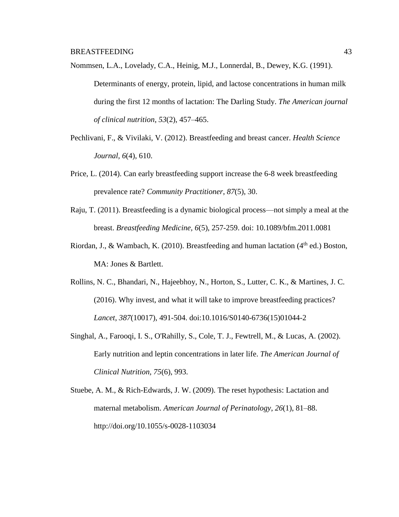Nommsen, L.A., Lovelady, C.A., Heinig, M.J., Lonnerdal, B., Dewey, K.G. (1991). Determinants of energy, protein, lipid, and lactose concentrations in human milk during the first 12 months of lactation: The Darling Study. *The American journal of clinical nutrition*, *53*(2), 457–465.

- Pechlivani, F., & Vivilaki, V. (2012). Breastfeeding and breast cancer. *Health Science Journal, 6*(4), 610.
- Price, L. (2014). Can early breastfeeding support increase the 6-8 week breastfeeding prevalence rate? *Community Practitioner*, *87*(5), 30.
- Raju, T. (2011). Breastfeeding is a dynamic biological process—not simply a meal at the breast. *Breastfeeding Medicine, 6*(5), 257-259. doi: 10.1089/bfm.2011.0081
- Riordan, J., & Wambach, K. (2010). Breastfeeding and human lactation ( $4<sup>th</sup>$  ed.) Boston, MA: Jones & Bartlett.
- Rollins, N. C., Bhandari, N., Hajeebhoy, N., Horton, S., Lutter, C. K., & Martines, J. C. (2016). Why invest, and what it will take to improve breastfeeding practices? *Lancet*, *387*(10017), 491-504. doi:10.1016/S0140-6736(15)01044-2
- Singhal, A., Farooqi, I. S., O'Rahilly, S., Cole, T. J., Fewtrell, M., & Lucas, A. (2002). Early nutrition and leptin concentrations in later life. *The American Journal of Clinical Nutrition, 75*(6), 993.
- Stuebe, A. M., & Rich-Edwards, J. W. (2009). The reset hypothesis: Lactation and maternal metabolism. *American Journal of Perinatology*, *26*(1), 81–88. http://doi.org/10.1055/s-0028-1103034